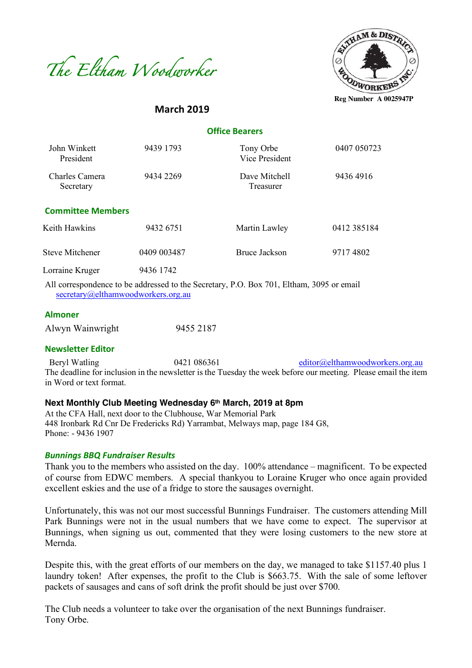



**March 2019**

 **Office Bearers**

| John Winkett<br>President                                                                                     | 9439 1793   | Tony Orbe<br>Vice President | 0407 050723 |  |
|---------------------------------------------------------------------------------------------------------------|-------------|-----------------------------|-------------|--|
| Charles Camera<br>Secretary                                                                                   | 9434 2269   | Dave Mitchell<br>Treasurer  | 94364916    |  |
| <b>Committee Members</b>                                                                                      |             |                             |             |  |
| Keith Hawkins                                                                                                 | 9432 6751   | Martin Lawley               | 0412 385184 |  |
| <b>Steve Mitchener</b>                                                                                        | 0409 003487 | <b>Bruce Jackson</b>        | 97174802    |  |
| Lorraine Kruger                                                                                               | 9436 1742   |                             |             |  |
| All correspondence to be addressed to the Corresponding $D_{\Omega}$ $D_{\Omega}$ $701$ Elthern 2005 or email |             |                             |             |  |

All correspondence to be addressed to the Secretary, P.O. Box 701, Eltham, 3095 or email secretary@elthamwoodworkers.org.au

#### **Almoner**

| Alwyn Wainwright | 9455 2187 |
|------------------|-----------|
|                  |           |

#### **Newsletter Editor**

Beryl Watling 0421 086361 editor@elthamwoodworkers.org.au The deadline for inclusion in the newsletter is the Tuesday the week before our meeting. Please email the item in Word or text format.

### **Next Monthly Club Meeting Wednesday 6th March, 2019 at 8pm**

At the CFA Hall, next door to the Clubhouse, War Memorial Park 448 Ironbark Rd Cnr De Fredericks Rd) Yarrambat, Melways map, page 184 G8, Phone: - 9436 1907

#### *Bunnings BBQ Fundraiser Results*

Thank you to the members who assisted on the day. 100% attendance – magnificent. To be expected of course from EDWC members. A special thankyou to Loraine Kruger who once again provided excellent eskies and the use of a fridge to store the sausages overnight.

Unfortunately, this was not our most successful Bunnings Fundraiser. The customers attending Mill Park Bunnings were not in the usual numbers that we have come to expect. The supervisor at Bunnings, when signing us out, commented that they were losing customers to the new store at Mernda.

Despite this, with the great efforts of our members on the day, we managed to take \$1157.40 plus 1 laundry token! After expenses, the profit to the Club is \$663.75. With the sale of some leftover packets of sausages and cans of soft drink the profit should be just over \$700.

The Club needs a volunteer to take over the organisation of the next Bunnings fundraiser. Tony Orbe.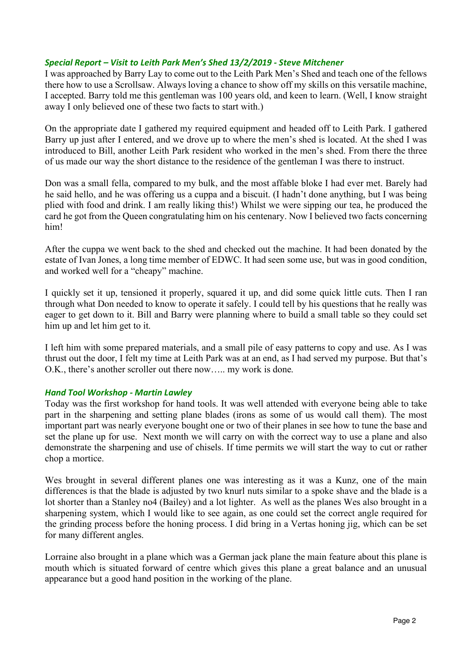## *Special Report – Visit to Leith Park Men's Shed 13/2/2019 - Steve Mitchener*

I was approached by Barry Lay to come out to the Leith Park Men's Shed and teach one of the fellows there how to use a Scrollsaw. Always loving a chance to show off my skills on this versatile machine, I accepted. Barry told me this gentleman was 100 years old, and keen to learn. (Well, I know straight away I only believed one of these two facts to start with.)

On the appropriate date I gathered my required equipment and headed off to Leith Park. I gathered Barry up just after I entered, and we drove up to where the men's shed is located. At the shed I was introduced to Bill, another Leith Park resident who worked in the men's shed. From there the three of us made our way the short distance to the residence of the gentleman I was there to instruct.

Don was a small fella, compared to my bulk, and the most affable bloke I had ever met. Barely had he said hello, and he was offering us a cuppa and a biscuit. (I hadn't done anything, but I was being plied with food and drink. I am really liking this!) Whilst we were sipping our tea, he produced the card he got from the Queen congratulating him on his centenary. Now I believed two facts concerning him!

After the cuppa we went back to the shed and checked out the machine. It had been donated by the estate of Ivan Jones, a long time member of EDWC. It had seen some use, but was in good condition, and worked well for a "cheapy" machine.

I quickly set it up, tensioned it properly, squared it up, and did some quick little cuts. Then I ran through what Don needed to know to operate it safely. I could tell by his questions that he really was eager to get down to it. Bill and Barry were planning where to build a small table so they could set him up and let him get to it.

I left him with some prepared materials, and a small pile of easy patterns to copy and use. As I was thrust out the door, I felt my time at Leith Park was at an end, as I had served my purpose. But that's O.K., there's another scroller out there now….. my work is done.

## *Hand Tool Workshop - Martin Lawley*

Today was the first workshop for hand tools. It was well attended with everyone being able to take part in the sharpening and setting plane blades (irons as some of us would call them). The most important part was nearly everyone bought one or two of their planes in see how to tune the base and set the plane up for use. Next month we will carry on with the correct way to use a plane and also demonstrate the sharpening and use of chisels. If time permits we will start the way to cut or rather chop a mortice.

Wes brought in several different planes one was interesting as it was a Kunz, one of the main differences is that the blade is adjusted by two knurl nuts similar to a spoke shave and the blade is a lot shorter than a Stanley no4 (Bailey) and a lot lighter. As well as the planes Wes also brought in a sharpening system, which I would like to see again, as one could set the correct angle required for the grinding process before the honing process. I did bring in a Vertas honing jig, which can be set for many different angles.

Lorraine also brought in a plane which was a German jack plane the main feature about this plane is mouth which is situated forward of centre which gives this plane a great balance and an unusual appearance but a good hand position in the working of the plane.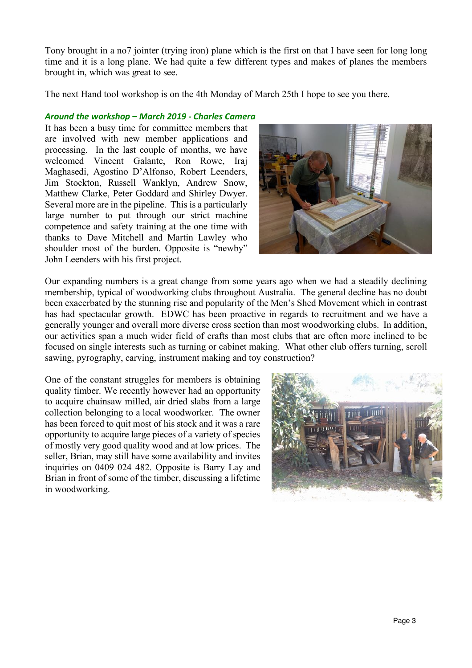Tony brought in a no7 jointer (trying iron) plane which is the first on that I have seen for long long time and it is a long plane. We had quite a few different types and makes of planes the members brought in, which was great to see.

The next Hand tool workshop is on the 4th Monday of March 25th I hope to see you there.

### *Around the workshop – March 2019 - Charles Camera*

It has been a busy time for committee members that are involved with new member applications and processing. In the last couple of months, we have welcomed Vincent Galante, Ron Rowe, Iraj Maghasedi, Agostino D'Alfonso, Robert Leenders, Jim Stockton, Russell Wanklyn, Andrew Snow, Matthew Clarke, Peter Goddard and Shirley Dwyer. Several more are in the pipeline. This is a particularly large number to put through our strict machine competence and safety training at the one time with thanks to Dave Mitchell and Martin Lawley who shoulder most of the burden. Opposite is "newby" John Leenders with his first project.



Our expanding numbers is a great change from some years ago when we had a steadily declining membership, typical of woodworking clubs throughout Australia. The general decline has no doubt been exacerbated by the stunning rise and popularity of the Men's Shed Movement which in contrast has had spectacular growth. EDWC has been proactive in regards to recruitment and we have a generally younger and overall more diverse cross section than most woodworking clubs. In addition, our activities span a much wider field of crafts than most clubs that are often more inclined to be focused on single interests such as turning or cabinet making. What other club offers turning, scroll sawing, pyrography, carving, instrument making and toy construction?

One of the constant struggles for members is obtaining quality timber. We recently however had an opportunity to acquire chainsaw milled, air dried slabs from a large collection belonging to a local woodworker. The owner has been forced to quit most of his stock and it was a rare opportunity to acquire large pieces of a variety of species of mostly very good quality wood and at low prices. The seller, Brian, may still have some availability and invites inquiries on 0409 024 482. Opposite is Barry Lay and Brian in front of some of the timber, discussing a lifetime in woodworking.

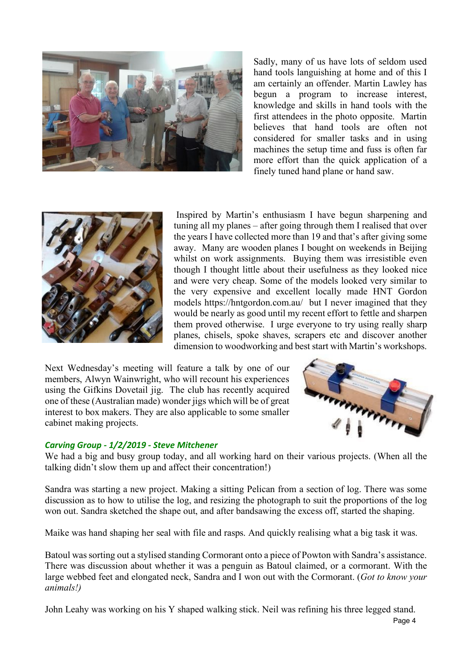

Sadly, many of us have lots of seldom used hand tools languishing at home and of this I am certainly an offender. Martin Lawley has begun a program to increase interest, knowledge and skills in hand tools with the first attendees in the photo opposite. Martin believes that hand tools are often not considered for smaller tasks and in using machines the setup time and fuss is often far more effort than the quick application of a finely tuned hand plane or hand saw.



Inspired by Martin's enthusiasm I have begun sharpening and tuning all my planes – after going through them I realised that over the years I have collected more than 19 and that's after giving some away. Many are wooden planes I bought on weekends in Beijing whilst on work assignments. Buying them was irresistible even though I thought little about their usefulness as they looked nice and were very cheap. Some of the models looked very similar to the very expensive and excellent locally made HNT Gordon models https://hntgordon.com.au/ but I never imagined that they would be nearly as good until my recent effort to fettle and sharpen them proved otherwise. I urge everyone to try using really sharp planes, chisels, spoke shaves, scrapers etc and discover another dimension to woodworking and best start with Martin's workshops.

Next Wednesday's meeting will feature a talk by one of our members, Alwyn Wainwright, who will recount his experiences using the Gifkins Dovetail jig. The club has recently acquired one of these (Australian made) wonder jigs which will be of great interest to box makers. They are also applicable to some smaller cabinet making projects.

#### *Carving Group - 1/2/2019 - Steve Mitchener*

We had a big and busy group today, and all working hard on their various projects. (When all the talking didn't slow them up and affect their concentration!)

Sandra was starting a new project. Making a sitting Pelican from a section of log. There was some discussion as to how to utilise the log, and resizing the photograph to suit the proportions of the log won out. Sandra sketched the shape out, and after bandsawing the excess off, started the shaping.

Maike was hand shaping her seal with file and rasps. And quickly realising what a big task it was.

Batoul was sorting out a stylised standing Cormorant onto a piece of Powton with Sandra's assistance. There was discussion about whether it was a penguin as Batoul claimed, or a cormorant. With the large webbed feet and elongated neck, Sandra and I won out with the Cormorant. (*Got to know your animals!)*

Page 4 John Leahy was working on his Y shaped walking stick. Neil was refining his three legged stand.

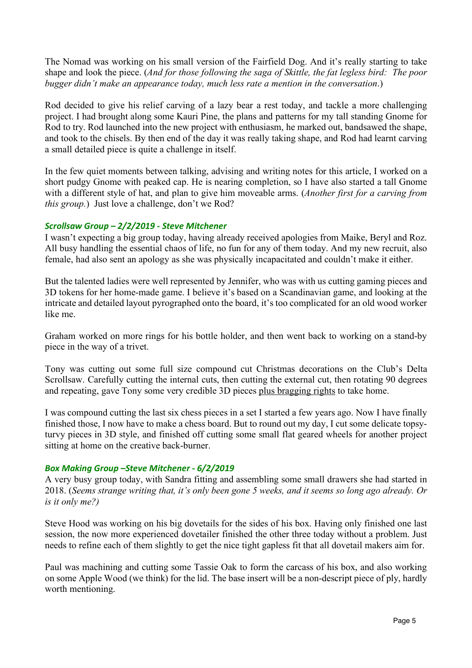The Nomad was working on his small version of the Fairfield Dog. And it's really starting to take shape and look the piece. (*And for those following the saga of Skittle, the fat legless bird: The poor bugger didn't make an appearance today, much less rate a mention in the conversation*.)

Rod decided to give his relief carving of a lazy bear a rest today, and tackle a more challenging project. I had brought along some Kauri Pine, the plans and patterns for my tall standing Gnome for Rod to try. Rod launched into the new project with enthusiasm, he marked out, bandsawed the shape, and took to the chisels. By then end of the day it was really taking shape, and Rod had learnt carving a small detailed piece is quite a challenge in itself.

In the few quiet moments between talking, advising and writing notes for this article, I worked on a short pudgy Gnome with peaked cap. He is nearing completion, so I have also started a tall Gnome with a different style of hat, and plan to give him moveable arms. (*Another first for a carving from this group.*) Just love a challenge, don't we Rod?

## *Scrollsaw Group – 2/2/2019 - Steve Mitchener*

I wasn't expecting a big group today, having already received apologies from Maike, Beryl and Roz. All busy handling the essential chaos of life, no fun for any of them today. And my new recruit, also female, had also sent an apology as she was physically incapacitated and couldn't make it either.

But the talented ladies were well represented by Jennifer, who was with us cutting gaming pieces and 3D tokens for her home-made game. I believe it's based on a Scandinavian game, and looking at the intricate and detailed layout pyrographed onto the board, it's too complicated for an old wood worker like me.

Graham worked on more rings for his bottle holder, and then went back to working on a stand-by piece in the way of a trivet.

Tony was cutting out some full size compound cut Christmas decorations on the Club's Delta Scrollsaw. Carefully cutting the internal cuts, then cutting the external cut, then rotating 90 degrees and repeating, gave Tony some very credible 3D pieces plus bragging rights to take home.

I was compound cutting the last six chess pieces in a set I started a few years ago. Now I have finally finished those, I now have to make a chess board. But to round out my day, I cut some delicate topsyturvy pieces in 3D style, and finished off cutting some small flat geared wheels for another project sitting at home on the creative back-burner.

## *Box Making Group –Steve Mitchener - 6/2/2019*

A very busy group today, with Sandra fitting and assembling some small drawers she had started in 2018. (*Seems strange writing that, it's only been gone 5 weeks, and it seems so long ago already. Or is it only me?)*

Steve Hood was working on his big dovetails for the sides of his box. Having only finished one last session, the now more experienced dovetailer finished the other three today without a problem. Just needs to refine each of them slightly to get the nice tight gapless fit that all dovetail makers aim for.

Paul was machining and cutting some Tassie Oak to form the carcass of his box, and also working on some Apple Wood (we think) for the lid. The base insert will be a non-descript piece of ply, hardly worth mentioning.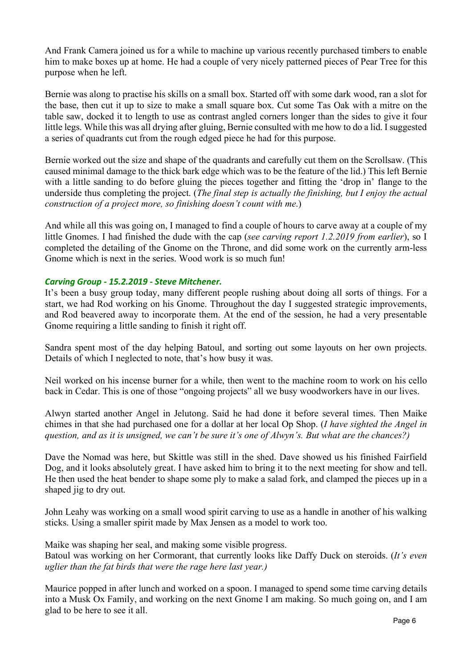And Frank Camera joined us for a while to machine up various recently purchased timbers to enable him to make boxes up at home. He had a couple of very nicely patterned pieces of Pear Tree for this purpose when he left.

Bernie was along to practise his skills on a small box. Started off with some dark wood, ran a slot for the base, then cut it up to size to make a small square box. Cut some Tas Oak with a mitre on the table saw, docked it to length to use as contrast angled corners longer than the sides to give it four little legs. While this was all drying after gluing, Bernie consulted with me how to do a lid. I suggested a series of quadrants cut from the rough edged piece he had for this purpose.

Bernie worked out the size and shape of the quadrants and carefully cut them on the Scrollsaw. (This caused minimal damage to the thick bark edge which was to be the feature of the lid.) This left Bernie with a little sanding to do before gluing the pieces together and fitting the 'drop in' flange to the underside thus completing the project. (*The final step is actually the finishing, but I enjoy the actual construction of a project more, so finishing doesn't count with me*.)

And while all this was going on, I managed to find a couple of hours to carve away at a couple of my little Gnomes. I had finished the dude with the cap (*see carving report 1.2.2019 from earlier*), so I completed the detailing of the Gnome on the Throne, and did some work on the currently arm-less Gnome which is next in the series. Wood work is so much fun!

## *Carving Group - 15.2.2019 - Steve Mitchener.*

It's been a busy group today, many different people rushing about doing all sorts of things. For a start, we had Rod working on his Gnome. Throughout the day I suggested strategic improvements, and Rod beavered away to incorporate them. At the end of the session, he had a very presentable Gnome requiring a little sanding to finish it right off.

Sandra spent most of the day helping Batoul, and sorting out some layouts on her own projects. Details of which I neglected to note, that's how busy it was.

Neil worked on his incense burner for a while, then went to the machine room to work on his cello back in Cedar. This is one of those "ongoing projects" all we busy woodworkers have in our lives.

Alwyn started another Angel in Jelutong. Said he had done it before several times. Then Maike chimes in that she had purchased one for a dollar at her local Op Shop. (*I have sighted the Angel in question, and as it is unsigned, we can't be sure it's one of Alwyn's. But what are the chances?)*

Dave the Nomad was here, but Skittle was still in the shed. Dave showed us his finished Fairfield Dog, and it looks absolutely great. I have asked him to bring it to the next meeting for show and tell. He then used the heat bender to shape some ply to make a salad fork, and clamped the pieces up in a shaped jig to dry out.

John Leahy was working on a small wood spirit carving to use as a handle in another of his walking sticks. Using a smaller spirit made by Max Jensen as a model to work too.

Maike was shaping her seal, and making some visible progress.

Batoul was working on her Cormorant, that currently looks like Daffy Duck on steroids. (*It's even uglier than the fat birds that were the rage here last year.)*

Maurice popped in after lunch and worked on a spoon. I managed to spend some time carving details into a Musk Ox Family, and working on the next Gnome I am making. So much going on, and I am glad to be here to see it all.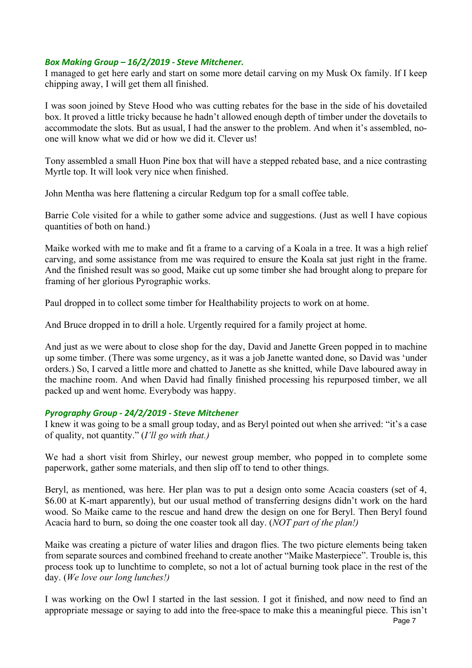## *Box Making Group – 16/2/2019 - Steve Mitchener.*

I managed to get here early and start on some more detail carving on my Musk Ox family. If I keep chipping away, I will get them all finished.

I was soon joined by Steve Hood who was cutting rebates for the base in the side of his dovetailed box. It proved a little tricky because he hadn't allowed enough depth of timber under the dovetails to accommodate the slots. But as usual, I had the answer to the problem. And when it's assembled, noone will know what we did or how we did it. Clever us!

Tony assembled a small Huon Pine box that will have a stepped rebated base, and a nice contrasting Myrtle top. It will look very nice when finished.

John Mentha was here flattening a circular Redgum top for a small coffee table.

Barrie Cole visited for a while to gather some advice and suggestions. (Just as well I have copious quantities of both on hand.)

Maike worked with me to make and fit a frame to a carving of a Koala in a tree. It was a high relief carving, and some assistance from me was required to ensure the Koala sat just right in the frame. And the finished result was so good, Maike cut up some timber she had brought along to prepare for framing of her glorious Pyrographic works.

Paul dropped in to collect some timber for Healthability projects to work on at home.

And Bruce dropped in to drill a hole. Urgently required for a family project at home.

And just as we were about to close shop for the day, David and Janette Green popped in to machine up some timber. (There was some urgency, as it was a job Janette wanted done, so David was 'under orders.) So, I carved a little more and chatted to Janette as she knitted, while Dave laboured away in the machine room. And when David had finally finished processing his repurposed timber, we all packed up and went home. Everybody was happy.

# *Pyrography Group - 24/2/2019 - Steve Mitchener*

I knew it was going to be a small group today, and as Beryl pointed out when she arrived: "it's a case of quality, not quantity." (*I'll go with that.)*

We had a short visit from Shirley, our newest group member, who popped in to complete some paperwork, gather some materials, and then slip off to tend to other things.

Beryl, as mentioned, was here. Her plan was to put a design onto some Acacia coasters (set of 4, \$6.00 at K-mart apparently), but our usual method of transferring designs didn't work on the hard wood. So Maike came to the rescue and hand drew the design on one for Beryl. Then Beryl found Acacia hard to burn, so doing the one coaster took all day. (*NOT part of the plan!)*

Maike was creating a picture of water lilies and dragon flies. The two picture elements being taken from separate sources and combined freehand to create another "Maike Masterpiece". Trouble is, this process took up to lunchtime to complete, so not a lot of actual burning took place in the rest of the day. (*We love our long lunches!)*

I was working on the Owl I started in the last session. I got it finished, and now need to find an appropriate message or saying to add into the free-space to make this a meaningful piece. This isn't